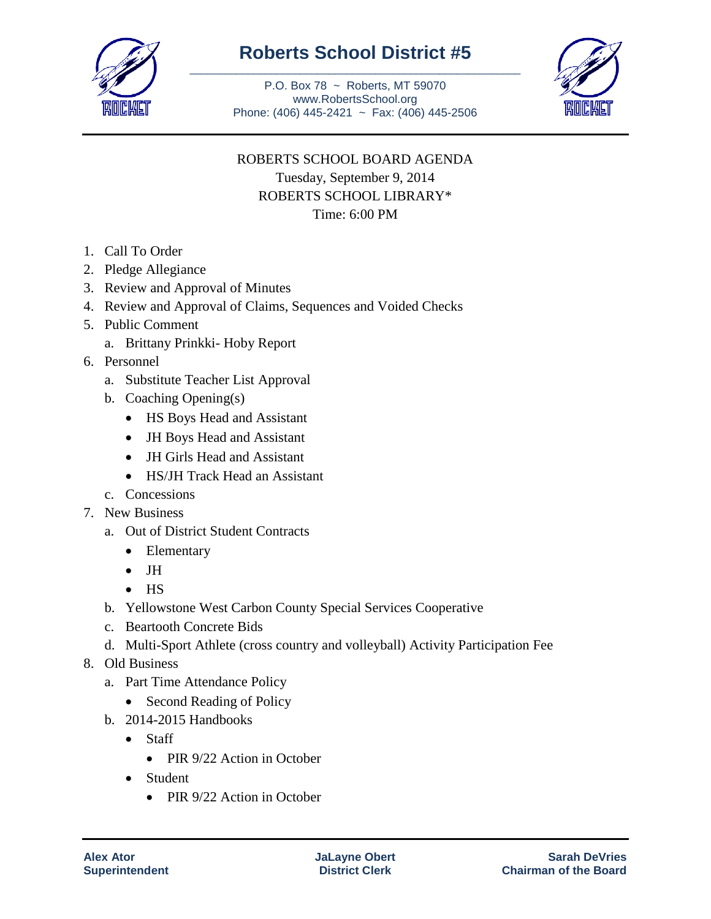

## **Roberts School District #5** \_\_\_\_\_\_\_\_\_\_\_\_\_\_\_\_\_\_\_\_\_\_\_\_\_\_\_\_\_\_\_\_\_\_\_\_\_\_\_\_\_\_\_\_\_\_\_\_\_\_\_\_\_\_\_\_\_

P.O. Box 78 ~ Roberts, MT 59070 www.RobertsSchool.org Phone: (406) 445-2421 ~ Fax: (406) 445-2506



## ROBERTS SCHOOL BOARD AGENDA Tuesday, September 9, 2014 ROBERTS SCHOOL LIBRARY\* Time: 6:00 PM

- 1. Call To Order
- 2. Pledge Allegiance
- 3. Review and Approval of Minutes
- 4. Review and Approval of Claims, Sequences and Voided Checks
- 5. Public Comment
	- a. Brittany Prinkki- Hoby Report
- 6. Personnel
	- a. Substitute Teacher List Approval
	- b. Coaching Opening(s)
		- HS Boys Head and Assistant
		- JH Boys Head and Assistant
		- JH Girls Head and Assistant
		- HS/JH Track Head an Assistant
	- c. Concessions
- 7. New Business
	- a. Out of District Student Contracts
		- Elementary
		- $\bullet$  JH
		- $\bullet$  HS
	- b. Yellowstone West Carbon County Special Services Cooperative
	- c. Beartooth Concrete Bids
	- d. Multi-Sport Athlete (cross country and volleyball) Activity Participation Fee
- 8. Old Business
	- a. Part Time Attendance Policy
		- Second Reading of Policy
	- b. 2014-2015 Handbooks
		- Staff
			- PIR 9/22 Action in October
		- Student
			- PIR 9/22 Action in October